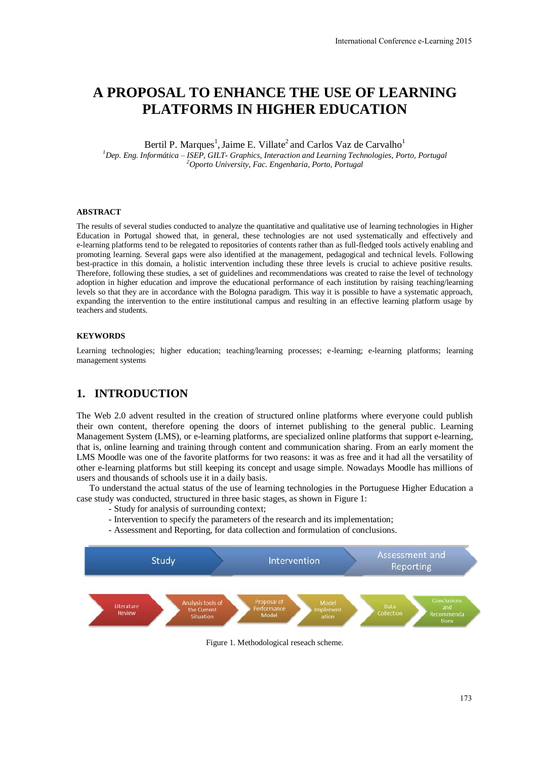# **A PROPOSAL TO ENHANCE THE USE OF LEARNING PLATFORMS IN HIGHER EDUCATION**

Bertil P. Marques<sup>1</sup>, Jaime E. Villate<sup>2</sup> and Carlos Vaz de Carvalho<sup>1</sup> *<sup>1</sup>Dep. Eng. Informática – ISEP, GILT- Graphics, Interaction and Learning Technologies, Porto, Portugal <sup>2</sup>Oporto University, Fac. Engenharia, Porto, Portugal* 

#### **ABSTRACT**

The results of several studies conducted to analyze the quantitative and qualitative use of learning technologies in Higher Education in Portugal showed that, in general, these technologies are not used systematically and effectively and e-learning platforms tend to be relegated to repositories of contents rather than as full-fledged tools actively enabling and promoting learning. Several gaps were also identified at the management, pedagogical and technical levels. Following best-practice in this domain, a holistic intervention including these three levels is crucial to achieve positive results. Therefore, following these studies, a set of guidelines and recommendations was created to raise the level of technology adoption in higher education and improve the educational performance of each institution by raising teaching/learning levels so that they are in accordance with the Bologna paradigm. This way it is possible to have a systematic approach, expanding the intervention to the entire institutional campus and resulting in an effective learning platform usage by teachers and students.

#### **KEYWORDS**

Learning technologies; higher education; teaching/learning processes; e-learning; e-learning platforms; learning management systems

### **1. INTRODUCTION**

The Web 2.0 advent resulted in the creation of structured online platforms where everyone could publish their own content, therefore opening the doors of internet publishing to the general public. Learning Management System (LMS), or e-learning platforms, are specialized online platforms that support e-learning, that is, online learning and training through content and communication sharing. From an early moment the LMS Moodle was one of the favorite platforms for two reasons: it was as free and it had all the versatility of other e-learning platforms but still keeping its concept and usage simple. Nowadays Moodle has millions of users and thousands of schools use it in a daily basis.

To understand the actual status of the use of learning technologies in the Portuguese Higher Education a case study was conducted, structured in three basic stages, as shown in [Figure 1:](#page-0-0)

- Study for analysis of surrounding context;
- Intervention to specify the parameters of the research and its implementation;
- Assessment and Reporting, for data collection and formulation of conclusions.

<span id="page-0-0"></span>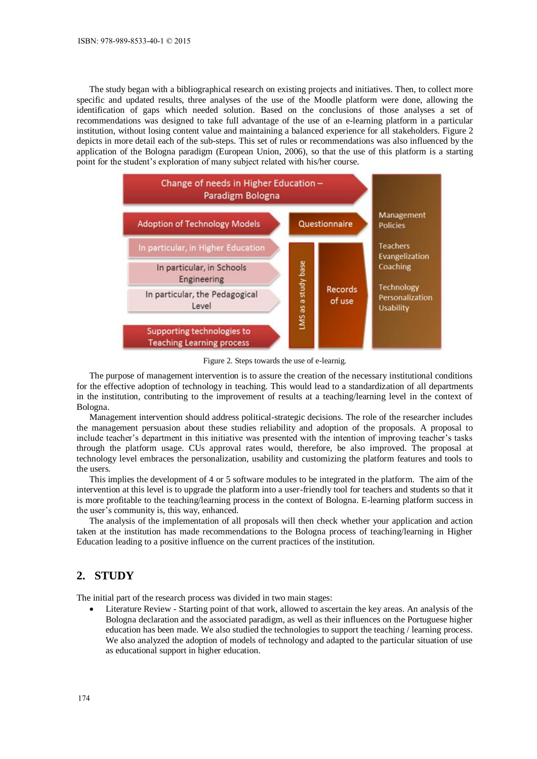The study began with a bibliographical research on existing projects and initiatives. Then, to collect more specific and updated results, three analyses of the use of the Moodle platform were done, allowing the identification of gaps which needed solution. Based on the conclusions of those analyses a set of recommendations was designed to take full advantage of the use of an e-learning platform in a particular institution, without losing content value and maintaining a balanced experience for all stakeholders. [Figure 2](#page-1-0) depicts in more detail each of the sub-steps. This set of rules or recommendations was also influenced by the application of the Bologna paradigm (European Union, 2006), so that the use of this platform is a starting point for the student's exploration of many subject related with his/her course.



Figure 2. Steps towards the use of e-learnig.

<span id="page-1-0"></span>The purpose of management intervention is to assure the creation of the necessary institutional conditions for the effective adoption of technology in teaching. This would lead to a standardization of all departments in the institution, contributing to the improvement of results at a teaching/learning level in the context of Bologna.

Management intervention should address political-strategic decisions. The role of the researcher includes the management persuasion about these studies reliability and adoption of the proposals. A proposal to include teacher's department in this initiative was presented with the intention of improving teacher's tasks through the platform usage. CUs approval rates would, therefore, be also improved. The proposal at technology level embraces the personalization, usability and customizing the platform features and tools to the users.

This implies the development of 4 or 5 software modules to be integrated in the platform. The aim of the intervention at this level is to upgrade the platform into a user-friendly tool for teachers and students so that it is more profitable to the teaching/learning process in the context of Bologna. E-learning platform success in the user's community is, this way, enhanced.

The analysis of the implementation of all proposals will then check whether your application and action taken at the institution has made recommendations to the Bologna process of teaching/learning in Higher Education leading to a positive influence on the current practices of the institution.

### **2. STUDY**

The initial part of the research process was divided in two main stages:

 Literature Review - Starting point of that work, allowed to ascertain the key areas. An analysis of the Bologna declaration and the associated paradigm, as well as their influences on the Portuguese higher education has been made. We also studied the technologies to support the teaching / learning process. We also analyzed the adoption of models of technology and adapted to the particular situation of use as educational support in higher education.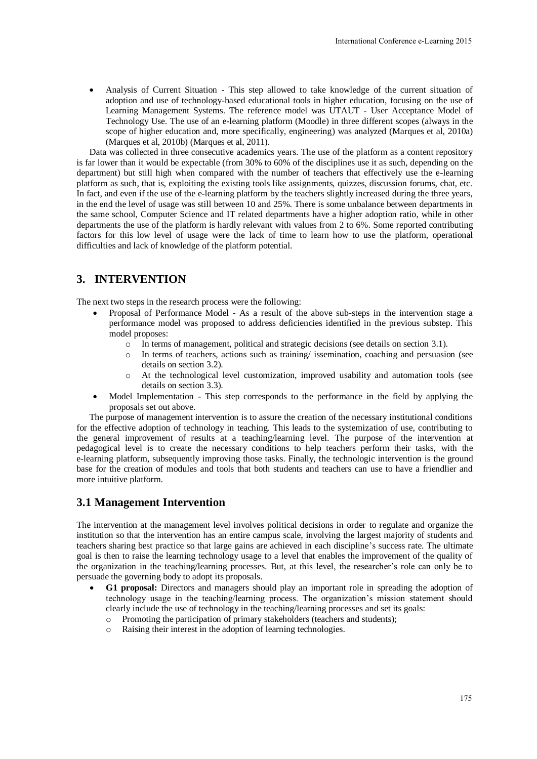Analysis of Current Situation - This step allowed to take knowledge of the current situation of adoption and use of technology-based educational tools in higher education, focusing on the use of Learning Management Systems. The reference model was UTAUT - User Acceptance Model of Technology Use. The use of an e-learning platform (Moodle) in three different scopes (always in the scope of higher education and, more specifically, engineering) was analyzed (Marques et al, 2010a) (Marques et al, 2010b) (Marques et al, 2011).

Data was collected in three consecutive academics years. The use of the platform as a content repository is far lower than it would be expectable (from 30% to 60% of the disciplines use it as such, depending on the department) but still high when compared with the number of teachers that effectively use the e-learning platform as such, that is, exploiting the existing tools like assignments, quizzes, discussion forums, chat, etc. In fact, and even if the use of the e-learning platform by the teachers slightly increased during the three years, in the end the level of usage was still between 10 and 25%. There is some unbalance between departments in the same school, Computer Science and IT related departments have a higher adoption ratio, while in other departments the use of the platform is hardly relevant with values from 2 to 6%. Some reported contributing factors for this low level of usage were the lack of time to learn how to use the platform, operational difficulties and lack of knowledge of the platform potential.

## **3. INTERVENTION**

The next two steps in the research process were the following:

- Proposal of Performance Model As a result of the above sub-steps in the intervention stage a performance model was proposed to address deficiencies identified in the previous substep. This model proposes:
	- $\circ$  In terms of management, political and strategic decisions (see details on section 3.1).
	- o In terms of teachers, actions such as training/ issemination, coaching and persuasion (see details on section 3.2).
	- o At the technological level customization, improved usability and automation tools (see details on section 3.3).
- Model Implementation This step corresponds to the performance in the field by applying the proposals set out above.

The purpose of management intervention is to assure the creation of the necessary institutional conditions for the effective adoption of technology in teaching. This leads to the systemization of use, contributing to the general improvement of results at a teaching/learning level. The purpose of the intervention at pedagogical level is to create the necessary conditions to help teachers perform their tasks, with the e-learning platform, subsequently improving those tasks. Finally, the technologic intervention is the ground base for the creation of modules and tools that both students and teachers can use to have a friendlier and more intuitive platform.

### **3.1 Management Intervention**

The intervention at the management level involves political decisions in order to regulate and organize the institution so that the intervention has an entire campus scale, involving the largest majority of students and teachers sharing best practice so that large gains are achieved in each discipline's success rate. The ultimate goal is then to raise the learning technology usage to a level that enables the improvement of the quality of the organization in the teaching/learning processes. But, at this level, the researcher's role can only be to persuade the governing body to adopt its proposals.

- **G1 proposal:** Directors and managers should play an important role in spreading the adoption of technology usage in the teaching/learning process. The organization's mission statement should clearly include the use of technology in the teaching/learning processes and set its goals:
	- o Promoting the participation of primary stakeholders (teachers and students);
	- o Raising their interest in the adoption of learning technologies.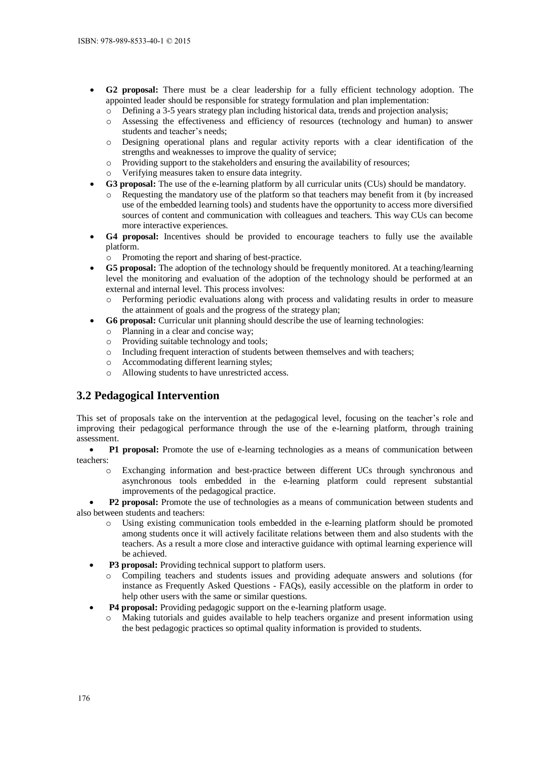- **G2 proposal:** There must be a clear leadership for a fully efficient technology adoption. The appointed leader should be responsible for strategy formulation and plan implementation:
	- Defining a 3-5 years strategy plan including historical data, trends and projection analysis;
	- o Assessing the effectiveness and efficiency of resources (technology and human) to answer students and teacher's needs;
	- o Designing operational plans and regular activity reports with a clear identification of the strengths and weaknesses to improve the quality of service;
	- o Providing support to the stakeholders and ensuring the availability of resources;
	- o Verifying measures taken to ensure data integrity.
- **G3 proposal:** The use of the e-learning platform by all curricular units (CUs) should be mandatory.
	- Requesting the mandatory use of the platform so that teachers may benefit from it (by increased use of the embedded learning tools) and students have the opportunity to access more diversified sources of content and communication with colleagues and teachers. This way CUs can become more interactive experiences.
- **G4 proposal:** Incentives should be provided to encourage teachers to fully use the available platform.
	- o Promoting the report and sharing of best-practice.
- **G5 proposal:** The adoption of the technology should be frequently monitored. At a teaching/learning level the monitoring and evaluation of the adoption of the technology should be performed at an external and internal level. This process involves:
	- o Performing periodic evaluations along with process and validating results in order to measure the attainment of goals and the progress of the strategy plan;
- **G6 proposal:** Curricular unit planning should describe the use of learning technologies:
	- o Planning in a clear and concise way;
	- o Providing suitable technology and tools;
	- o Including frequent interaction of students between themselves and with teachers;
	- o Accommodating different learning styles;
	- o Allowing students to have unrestricted access.

## **3.2 Pedagogical Intervention**

This set of proposals take on the intervention at the pedagogical level, focusing on the teacher's role and improving their pedagogical performance through the use of the e-learning platform, through training assessment.

• **P1 proposal:** Promote the use of e-learning technologies as a means of communication between teachers:

o Exchanging information and best-practice between different UCs through synchronous and asynchronous tools embedded in the e-learning platform could represent substantial improvements of the pedagogical practice.

 **P2 proposal:** Promote the use of technologies as a means of communication between students and also between students and teachers:

- Using existing communication tools embedded in the e-learning platform should be promoted among students once it will actively facilitate relations between them and also students with the teachers. As a result a more close and interactive guidance with optimal learning experience will be achieved.
- **P3 proposal:** Providing technical support to platform users.
	- Compiling teachers and students issues and providing adequate answers and solutions (for instance as Frequently Asked Questions - FAQs), easily accessible on the platform in order to help other users with the same or similar questions.
- **P4 proposal:** Providing pedagogic support on the e-learning platform usage.
	- o Making tutorials and guides available to help teachers organize and present information using the best pedagogic practices so optimal quality information is provided to students.